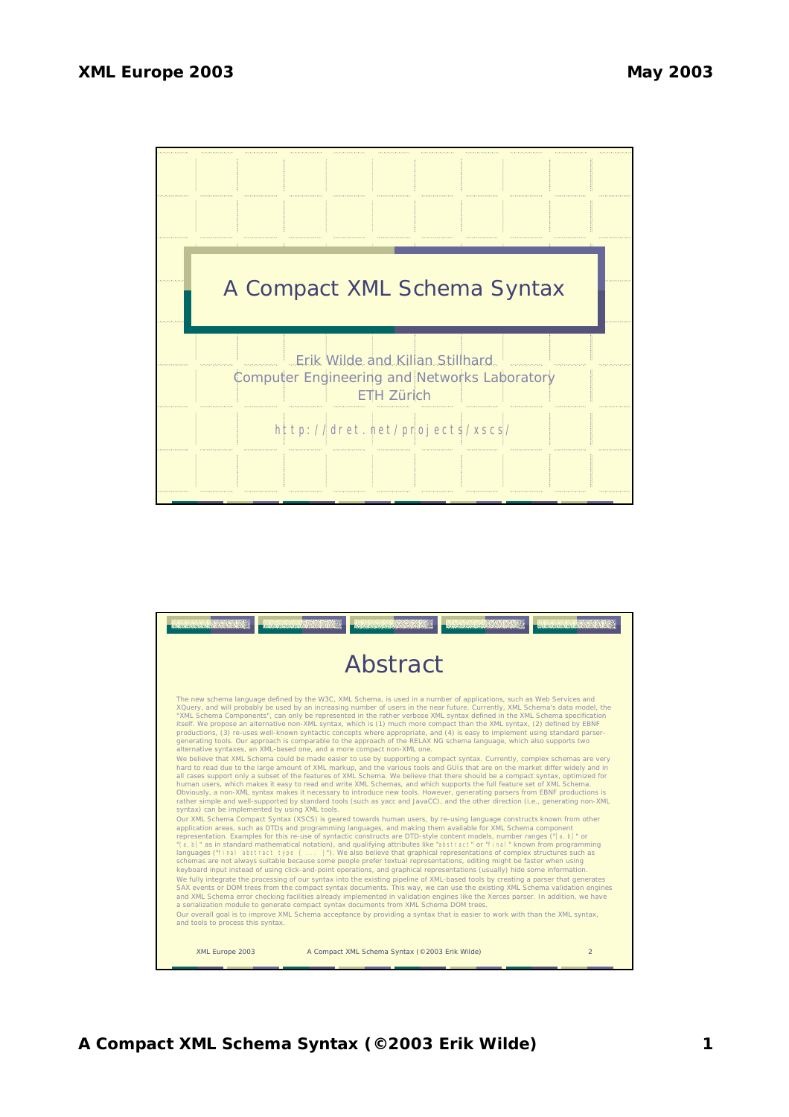

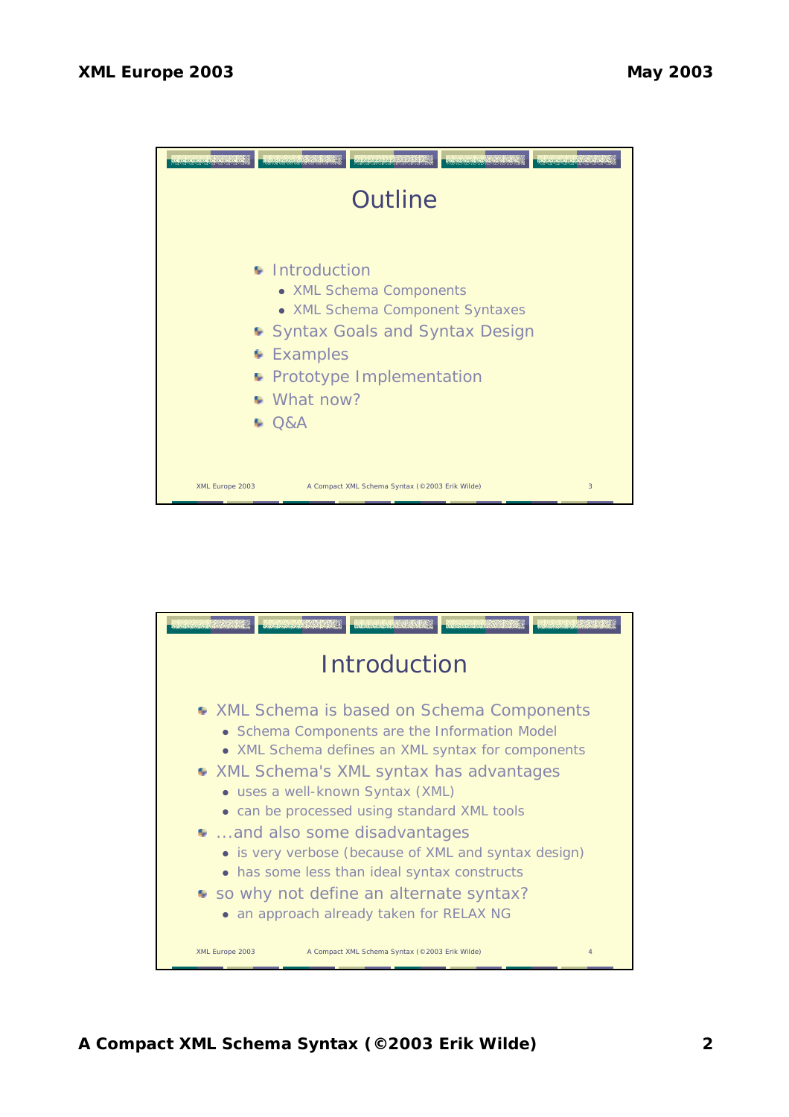

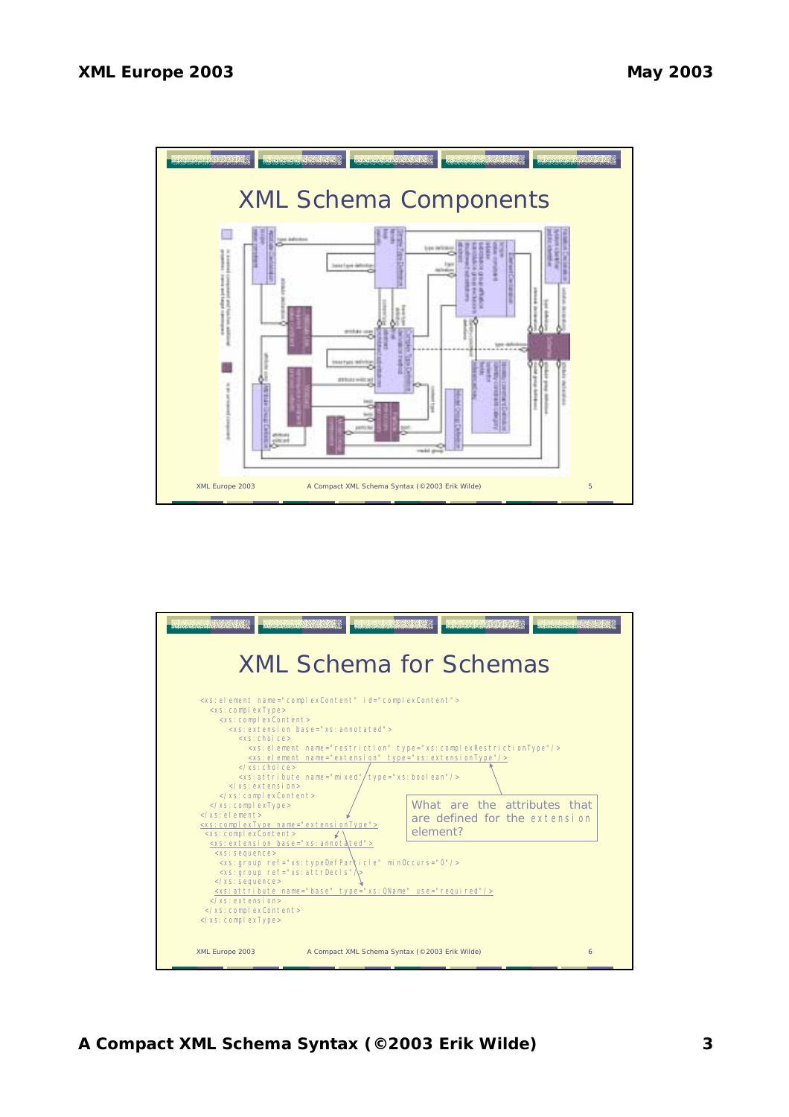

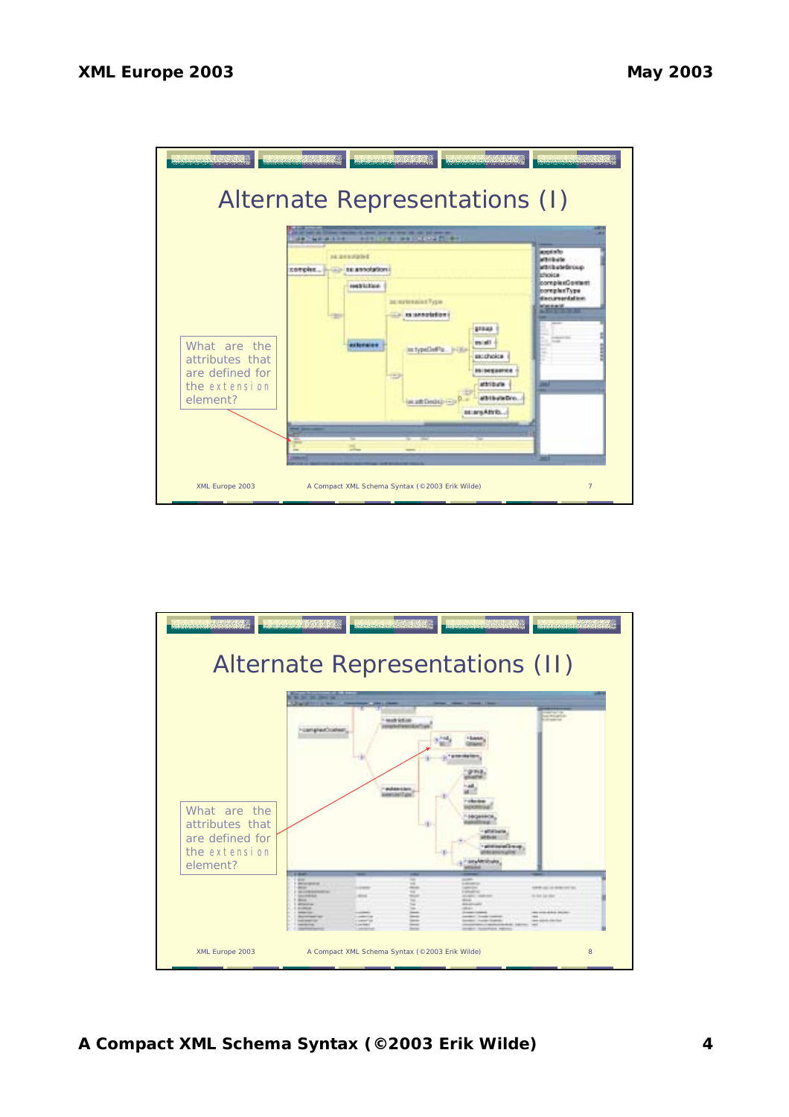

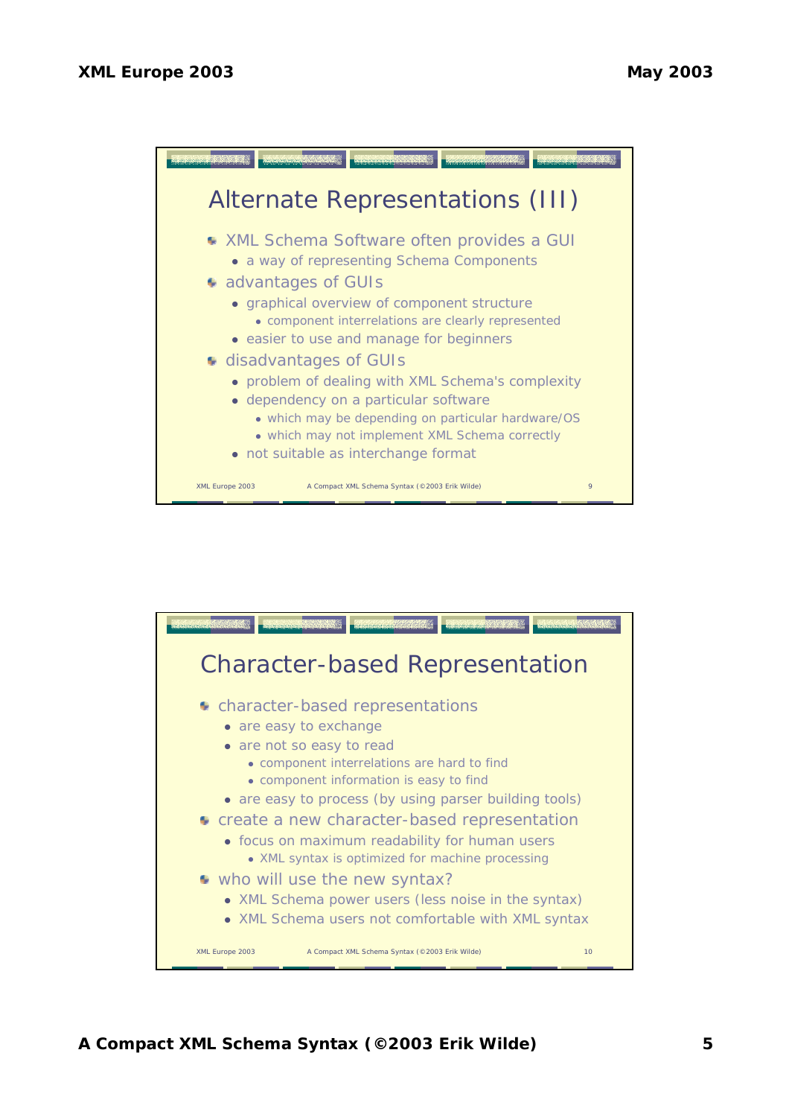

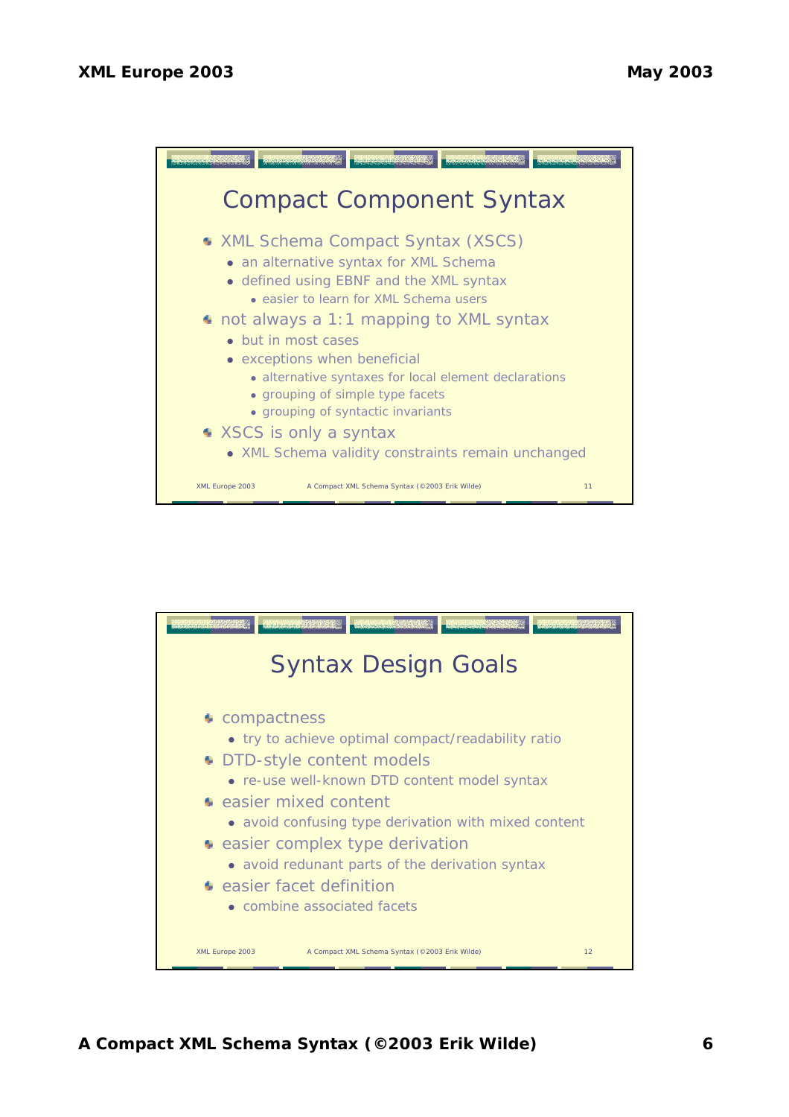

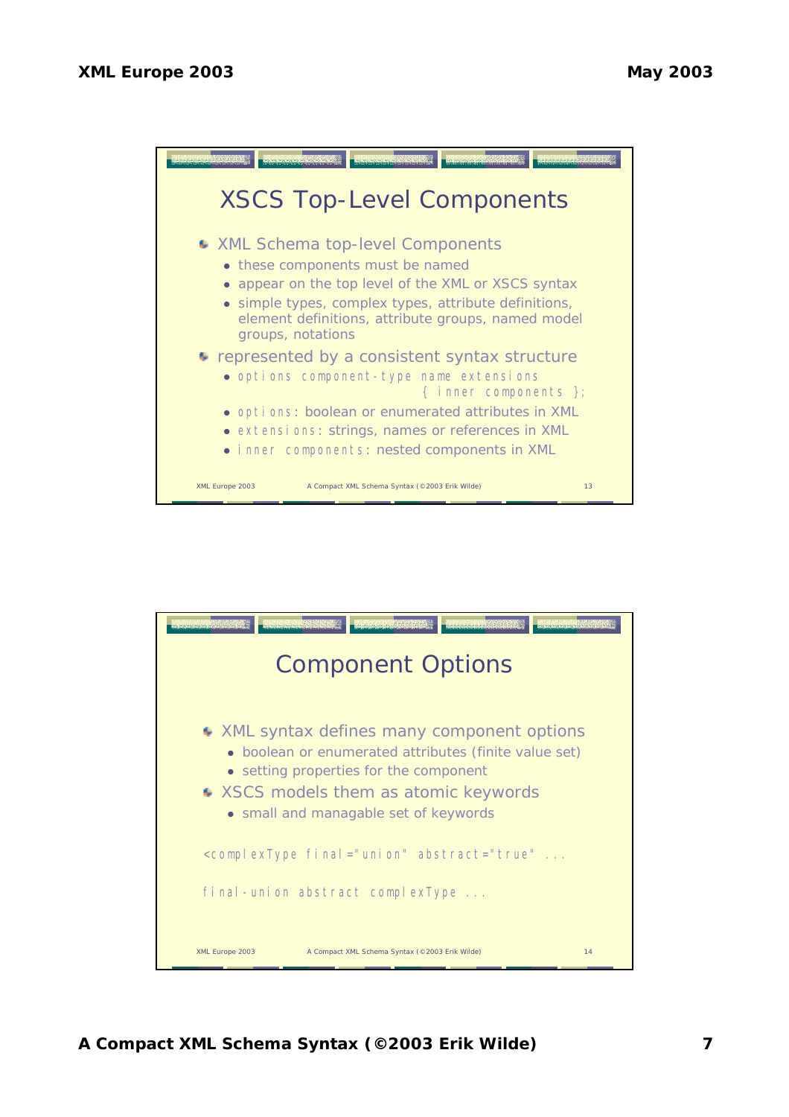

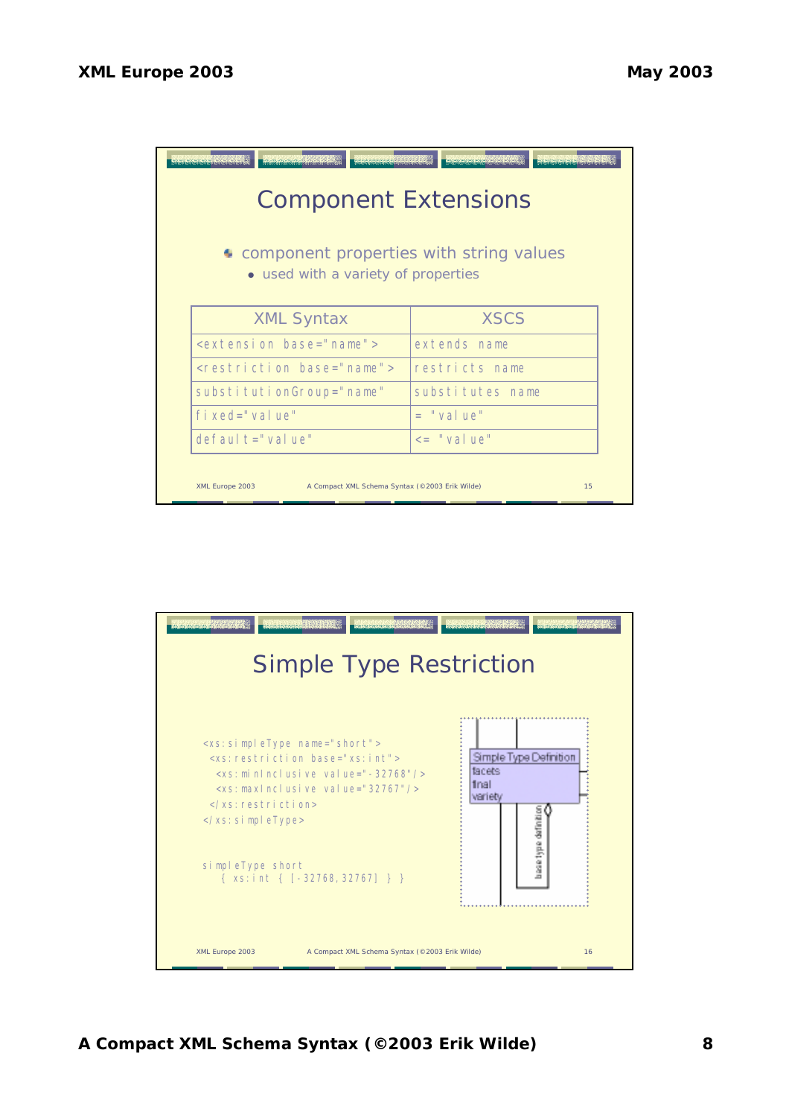

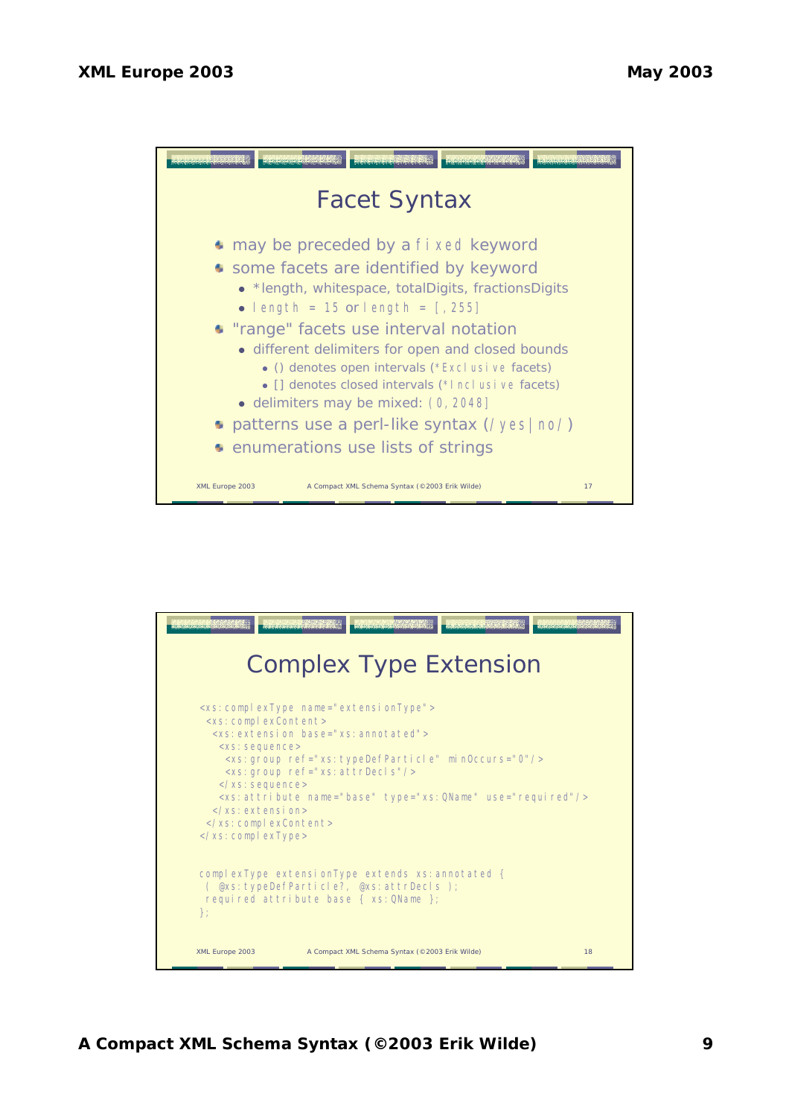

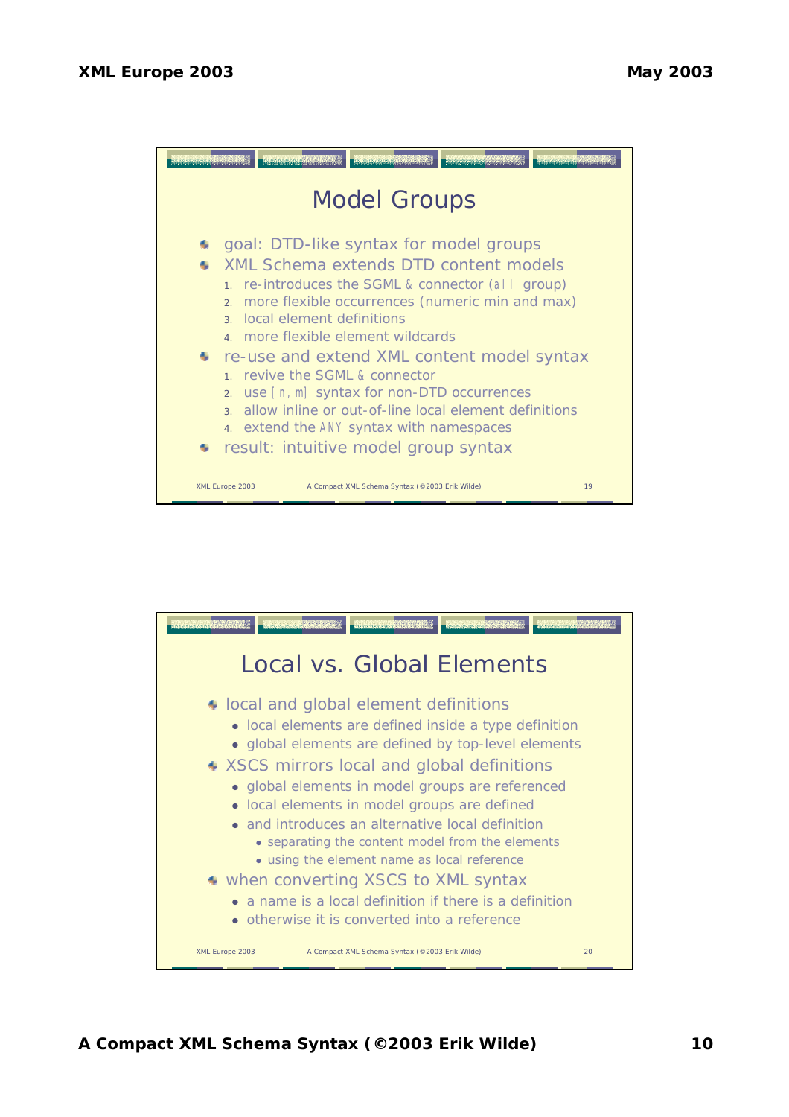

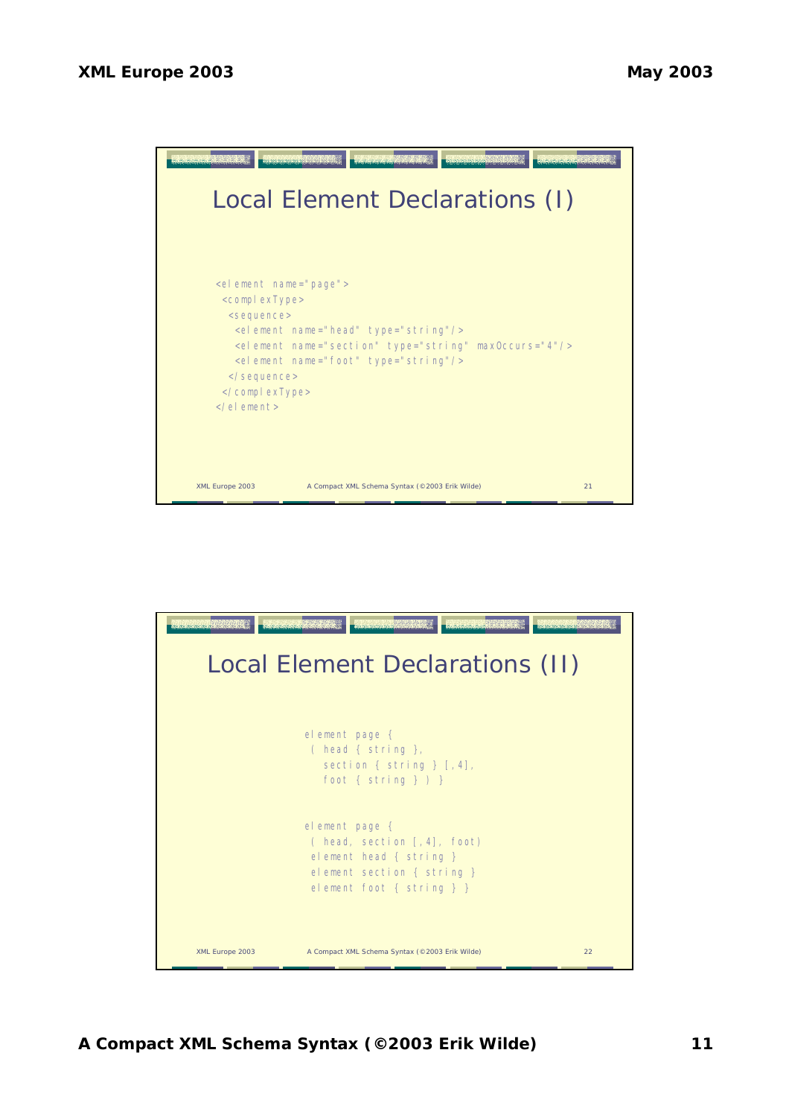

| <b>Construction of California</b><br><u>ng ng ng ng mga kalimitang ng </u><br><b>POPULATIONS</b><br>promo nomo no no homo no homo<br>Local Element Declarations (II) |                                                                                                                                        |    |  |  |  |  |  |
|----------------------------------------------------------------------------------------------------------------------------------------------------------------------|----------------------------------------------------------------------------------------------------------------------------------------|----|--|--|--|--|--|
|                                                                                                                                                                      | element page {<br>( head { string },<br>section { string } $[, 4],$<br>foot { $string$ } $)$ }                                         |    |  |  |  |  |  |
|                                                                                                                                                                      | element page {<br>(head, section $[4]$ , foot)<br>element head { string }<br>element section { string }<br>element foot { $string$ } } |    |  |  |  |  |  |
| XML Europe 2003                                                                                                                                                      | A Compact XML Schema Syntax (@2003 Erik Wilde)                                                                                         | 22 |  |  |  |  |  |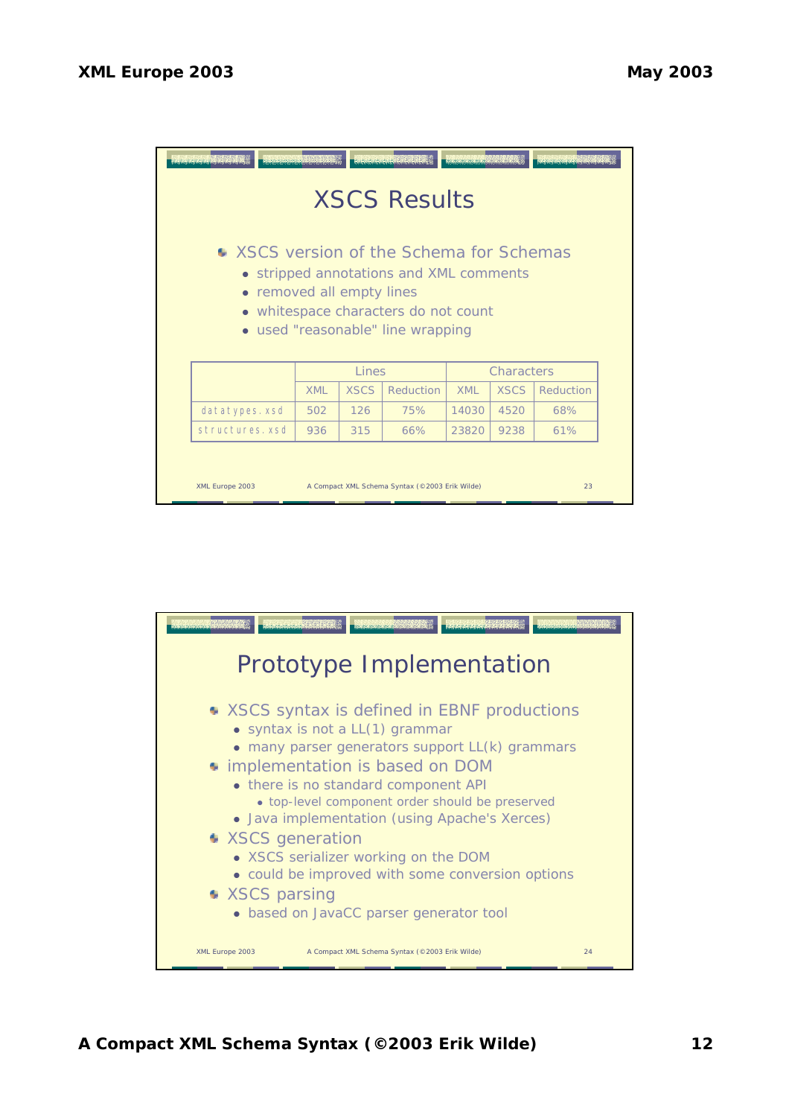| <b>DECIMENTATION OF A CARD AND ARTICLE</b><br><b>RAKARAKARAKARAK</b><br>recorded to the<br><b>XSCS Results</b>                                                                                |            |             |           |            |             |           |  |  |  |
|-----------------------------------------------------------------------------------------------------------------------------------------------------------------------------------------------|------------|-------------|-----------|------------|-------------|-----------|--|--|--|
| ● XSCS version of the Schema for Schemas<br>• stripped annotations and XML comments<br>• removed all empty lines<br>• whitespace characters do not count<br>• used "reasonable" line wrapping |            |             |           |            |             |           |  |  |  |
|                                                                                                                                                                                               | Lines      |             |           | Characters |             |           |  |  |  |
|                                                                                                                                                                                               | <b>XML</b> | <b>XSCS</b> | Reduction | <b>XML</b> | <b>XSCS</b> | Reduction |  |  |  |
| datatypes.xsd                                                                                                                                                                                 | 502        | 126         | 75%       | 14030      | 4520        | 68%       |  |  |  |
| structures, xsd                                                                                                                                                                               | 936        | 315         | 66%       | 23820      | 9238        | 61%       |  |  |  |
| XML Europe 2003<br>A Compact XML Schema Syntax (@2003 Erik Wilde)<br>23                                                                                                                       |            |             |           |            |             |           |  |  |  |